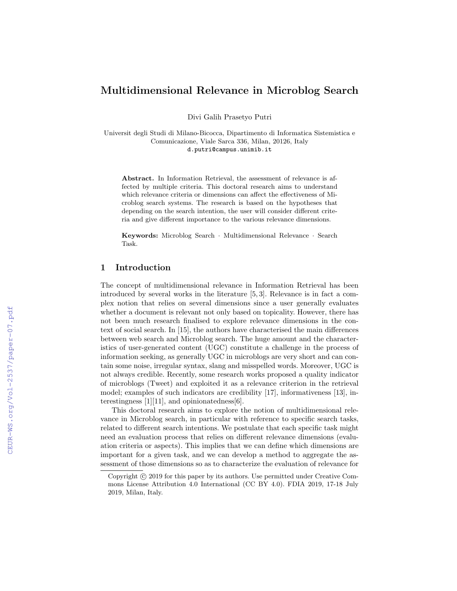# Multidimensional Relevance in Microblog Search

Divi Galih Prasetyo Putri

Universit degli Studi di Milano-Bicocca, Dipartimento di Informatica Sistemistica e Comunicazione, Viale Sarca 336, Milan, 20126, Italy d.putri@campus.unimib.it

Abstract. In Information Retrieval, the assessment of relevance is affected by multiple criteria. This doctoral research aims to understand which relevance criteria or dimensions can affect the effectiveness of Microblog search systems. The research is based on the hypotheses that depending on the search intention, the user will consider different criteria and give different importance to the various relevance dimensions.

Keywords: Microblog Search · Multidimensional Relevance · Search Task.

## 1 Introduction

The concept of multidimensional relevance in Information Retrieval has been introduced by several works in the literature [5, 3]. Relevance is in fact a complex notion that relies on several dimensions since a user generally evaluates whether a document is relevant not only based on topicality. However, there has not been much research finalised to explore relevance dimensions in the context of social search. In [15], the authors have characterised the main differences between web search and Microblog search. The huge amount and the characteristics of user-generated content (UGC) constitute a challenge in the process of information seeking, as generally UGC in microblogs are very short and can contain some noise, irregular syntax, slang and misspelled words. Moreover, UGC is not always credible. Recently, some research works proposed a quality indicator of microblogs (Tweet) and exploited it as a relevance criterion in the retrieval model; examples of such indicators are credibility [17], informativeness [13], interestingness [1][11], and opinionatedness[6].

This doctoral research aims to explore the notion of multidimensional relevance in Microblog search, in particular with reference to specific search tasks, related to different search intentions. We postulate that each specific task might need an evaluation process that relies on different relevance dimensions (evaluation criteria or aspects). This implies that we can define which dimensions are important for a given task, and we can develop a method to aggregate the assessment of those dimensions so as to characterize the evaluation of relevance for

Copyright  $\odot$  2019 for this paper by its authors. Use permitted under Creative Commons License Attribution 4.0 International (CC BY 4.0). FDIA 2019, 17-18 July 2019, Milan, Italy.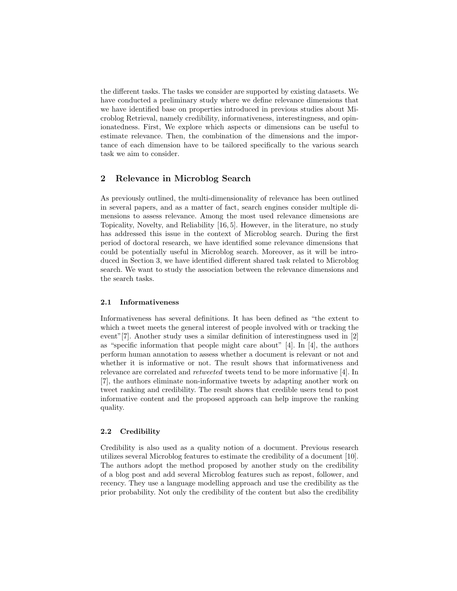the different tasks. The tasks we consider are supported by existing datasets. We have conducted a preliminary study where we define relevance dimensions that we have identified base on properties introduced in previous studies about Microblog Retrieval, namely credibility, informativeness, interestingness, and opinionatedness. First, We explore which aspects or dimensions can be useful to estimate relevance. Then, the combination of the dimensions and the importance of each dimension have to be tailored specifically to the various search task we aim to consider.

# 2 Relevance in Microblog Search

As previously outlined, the multi-dimensionality of relevance has been outlined in several papers, and as a matter of fact, search engines consider multiple dimensions to assess relevance. Among the most used relevance dimensions are Topicality, Novelty, and Reliability [16, 5]. However, in the literature, no study has addressed this issue in the context of Microblog search. During the first period of doctoral research, we have identified some relevance dimensions that could be potentially useful in Microblog search. Moreover, as it will be introduced in Section 3, we have identified different shared task related to Microblog search. We want to study the association between the relevance dimensions and the search tasks.

#### 2.1 Informativeness

Informativeness has several definitions. It has been defined as "the extent to which a tweet meets the general interest of people involved with or tracking the event"[7]. Another study uses a similar definition of interestingness used in [2] as "specific information that people might care about" [4]. In [4], the authors perform human annotation to assess whether a document is relevant or not and whether it is informative or not. The result shows that informativeness and relevance are correlated and retweeted tweets tend to be more informative [4]. In [7], the authors eliminate non-informative tweets by adapting another work on tweet ranking and credibility. The result shows that credible users tend to post informative content and the proposed approach can help improve the ranking quality.

## 2.2 Credibility

Credibility is also used as a quality notion of a document. Previous research utilizes several Microblog features to estimate the credibility of a document [10]. The authors adopt the method proposed by another study on the credibility of a blog post and add several Microblog features such as repost, follower, and recency. They use a language modelling approach and use the credibility as the prior probability. Not only the credibility of the content but also the credibility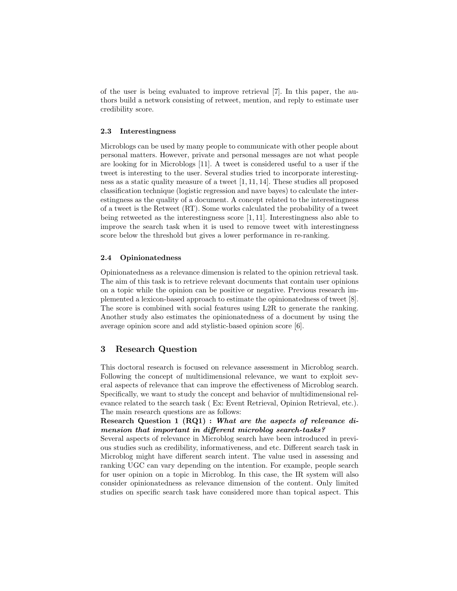of the user is being evaluated to improve retrieval [7]. In this paper, the authors build a network consisting of retweet, mention, and reply to estimate user credibility score.

#### 2.3 Interestingness

Microblogs can be used by many people to communicate with other people about personal matters. However, private and personal messages are not what people are looking for in Microblogs [11]. A tweet is considered useful to a user if the tweet is interesting to the user. Several studies tried to incorporate interestingness as a static quality measure of a tweet [1, 11, 14]. These studies all proposed classification technique (logistic regression and nave bayes) to calculate the interestingness as the quality of a document. A concept related to the interestingness of a tweet is the Retweet (RT). Some works calculated the probability of a tweet being retweeted as the interestingness score [1, 11]. Interestingness also able to improve the search task when it is used to remove tweet with interestingness score below the threshold but gives a lower performance in re-ranking.

## 2.4 Opinionatedness

Opinionatedness as a relevance dimension is related to the opinion retrieval task. The aim of this task is to retrieve relevant documents that contain user opinions on a topic while the opinion can be positive or negative. Previous research implemented a lexicon-based approach to estimate the opinionatedness of tweet [8]. The score is combined with social features using L2R to generate the ranking. Another study also estimates the opinionatedness of a document by using the average opinion score and add stylistic-based opinion score [6].

## 3 Research Question

This doctoral research is focused on relevance assessment in Microblog search. Following the concept of multidimensional relevance, we want to exploit several aspects of relevance that can improve the effectiveness of Microblog search. Specifically, we want to study the concept and behavior of multidimensional relevance related to the search task ( Ex: Event Retrieval, Opinion Retrieval, etc.). The main research questions are as follows:

## Research Question 1 (RQ1) : What are the aspects of relevance dimension that important in different microblog search-tasks?

Several aspects of relevance in Microblog search have been introduced in previous studies such as credibility, informativeness, and etc. Different search task in Microblog might have different search intent. The value used in assessing and ranking UGC can vary depending on the intention. For example, people search for user opinion on a topic in Microblog. In this case, the IR system will also consider opinionatedness as relevance dimension of the content. Only limited studies on specific search task have considered more than topical aspect. This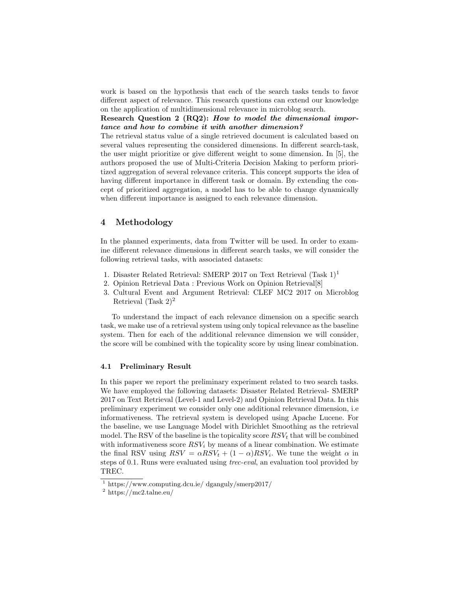work is based on the hypothesis that each of the search tasks tends to favor different aspect of relevance. This research questions can extend our knowledge on the application of multidimensional relevance in microblog search.

Research Question 2 (RQ2): How to model the dimensional importance and how to combine it with another dimension?

The retrieval status value of a single retrieved document is calculated based on several values representing the considered dimensions. In different search-task, the user might prioritize or give different weight to some dimension. In [5], the authors proposed the use of Multi-Criteria Decision Making to perform prioritized aggregation of several relevance criteria. This concept supports the idea of having different importance in different task or domain. By extending the concept of prioritized aggregation, a model has to be able to change dynamically when different importance is assigned to each relevance dimension.

## 4 Methodology

In the planned experiments, data from Twitter will be used. In order to examine different relevance dimensions in different search tasks, we will consider the following retrieval tasks, with associated datasets:

- 1. Disaster Related Retrieval: SMERP 2017 on Text Retrieval  $(Task 1)^1$
- 2. Opinion Retrieval Data : Previous Work on Opinion Retrieval[8]
- 3. Cultural Event and Argument Retrieval: CLEF MC2 2017 on Microblog Retrieval (Task  $2)^2$

To understand the impact of each relevance dimension on a specific search task, we make use of a retrieval system using only topical relevance as the baseline system. Then for each of the additional relevance dimension we will consider, the score will be combined with the topicality score by using linear combination.

## 4.1 Preliminary Result

In this paper we report the preliminary experiment related to two search tasks. We have employed the following datasets: Disaster Related Retrieval- SMERP 2017 on Text Retrieval (Level-1 and Level-2) and Opinion Retrieval Data. In this preliminary experiment we consider only one additional relevance dimension, i.e informativeness. The retrieval system is developed using Apache Lucene. For the baseline, we use Language Model with Dirichlet Smoothing as the retrieval model. The RSV of the baseline is the topicality score  $RSV_t$  that will be combined with informativeness score  $RSV_i$  by means of a linear combination. We estimate the final RSV using  $RSV = \alpha RSV_t + (1 - \alpha)RSV_i$ . We tune the weight  $\alpha$  in steps of 0.1. Runs were evaluated using trec-eval, an evaluation tool provided by TREC.

 $1 \text{ https://www.computing.dcu.ie/}$  dganguly/smerp2017/

<sup>2</sup> https://mc2.talne.eu/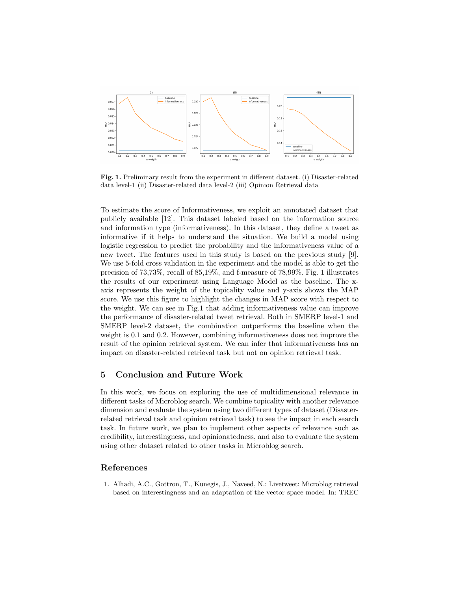

Fig. 1. Preliminary result from the experiment in different dataset. (i) Disaster-related data level-1 (ii) Disaster-related data level-2 (iii) Opinion Retrieval data

To estimate the score of Informativeness, we exploit an annotated dataset that publicly available [12]. This dataset labeled based on the information source and information type (informativeness). In this dataset, they define a tweet as informative if it helps to understand the situation. We build a model using logistic regression to predict the probability and the informativeness value of a new tweet. The features used in this study is based on the previous study [9]. We use 5-fold cross validation in the experiment and the model is able to get the precision of 73,73%, recall of 85,19%, and f-measure of 78,99%. Fig. 1 illustrates the results of our experiment using Language Model as the baseline. The xaxis represents the weight of the topicality value and y-axis shows the MAP score. We use this figure to highlight the changes in MAP score with respect to the weight. We can see in Fig.1 that adding informativeness value can improve the performance of disaster-related tweet retrieval. Both in SMERP level-1 and SMERP level-2 dataset, the combination outperforms the baseline when the weight is 0.1 and 0.2. However, combining informativeness does not improve the result of the opinion retrieval system. We can infer that informativeness has an impact on disaster-related retrieval task but not on opinion retrieval task.

# 5 Conclusion and Future Work

In this work, we focus on exploring the use of multidimensional relevance in different tasks of Microblog search. We combine topicality with another relevance dimension and evaluate the system using two different types of dataset (Disasterrelated retrieval task and opinion retrieval task) to see the impact in each search task. In future work, we plan to implement other aspects of relevance such as credibility, interestingness, and opinionatedness, and also to evaluate the system using other dataset related to other tasks in Microblog search.

# References

1. Alhadi, A.C., Gottron, T., Kunegis, J., Naveed, N.: Livetweet: Microblog retrieval based on interestingness and an adaptation of the vector space model. In: TREC